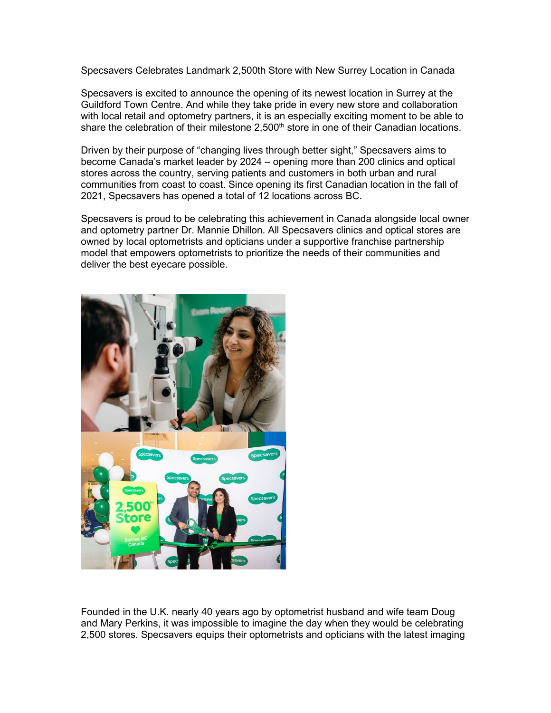Specsavers Celebrates Landmark 2,500th Store with New Surrey Location in Canada

Specsavers is excited to announce the opening of its newest location in Surrey at the Guildford Town Centre. And while they take pride in every new store and collaboration with local retail and optometry partners, it is an especially exciting moment to be able to share the celebration of their milestone  $2,500<sup>th</sup>$  store in one of their Canadian locations.

Driven by their purpose of "changing lives through better sight," Specsavers aims to become Canada's market leader by 2024 – opening more than 200 clinics and optical stores across the country, serving patients and customers in both urban and rural communities from coast to coast. Since opening its first Canadian location in the fall of 2021, Specsavers has opened a total of 12 locations across BC.

Specsavers is proud to be celebrating this achievement in Canada alongside local owner and optometry partner Dr. Mannie Dhillon. All Specsavers clinics and optical stores are owned by local optometrists and opticians under a supportive franchise partnership model that empowers optometrists to prioritize the needs of their communities and deliver the best eyecare possible.



Founded in the U.K. nearly 40 years ago by optometrist husband and wife team Doug and Mary Perkins, it was impossible to imagine the day when they would be celebrating 2,500 stores. Specsavers equips their optometrists and opticians with the latest imaging